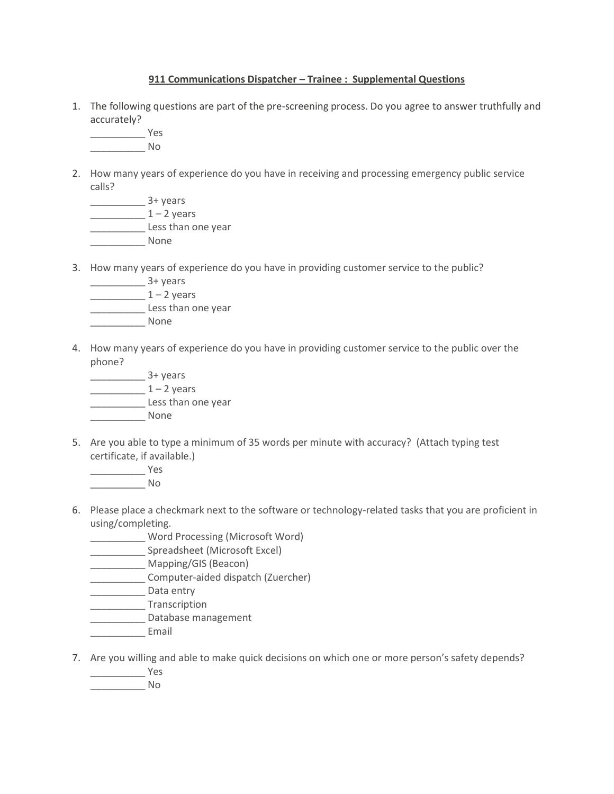## **911 Communications Dispatcher – Trainee : Supplemental Questions**

1. The following questions are part of the pre-screening process. Do you agree to answer truthfully and accurately?

\_\_\_\_\_\_\_\_\_\_ Yes \_\_\_\_\_\_\_\_\_\_ No

2. How many years of experience do you have in receiving and processing emergency public service calls?

\_\_\_\_\_\_\_\_\_\_ 3+ years  $\frac{1 - 2 \text{ years}}{2 - 2 \text{ years}}$ \_\_\_\_\_\_\_\_\_\_ Less than one year \_\_\_\_\_\_\_\_\_\_ None

3. How many years of experience do you have in providing customer service to the public?

\_\_\_\_\_\_\_\_\_\_ 3+ years

- $\frac{1 2 \text{ years}}{2 2 \text{ years}}$ \_\_\_\_\_\_\_\_\_\_ Less than one year
- \_\_\_\_\_\_\_\_\_\_ None
- 4. How many years of experience do you have in providing customer service to the public over the phone?
	- $\frac{3 + \text{years}}{2}$  $\frac{1 - 2 \text{ years}}{2 - 2 \text{ years}}$ \_\_\_\_\_\_\_\_\_\_ Less than one year \_\_\_\_\_\_\_\_\_\_ None
- 5. Are you able to type a minimum of 35 words per minute with accuracy? (Attach typing test certificate, if available.)
	- \_\_\_\_\_\_\_\_\_\_ Yes \_\_\_\_\_\_\_\_\_\_ No
- 6. Please place a checkmark next to the software or technology-related tasks that you are proficient in using/completing.
	- \_\_\_\_\_\_\_\_\_\_ Word Processing (Microsoft Word)
	- \_\_\_\_\_\_\_\_\_\_ Spreadsheet (Microsoft Excel)
	- Mapping/GIS (Beacon)
	- \_\_\_\_\_\_\_\_\_\_ Computer-aided dispatch (Zuercher)
	- **\_\_\_\_\_\_\_\_\_\_** Data entry
	- \_\_\_\_\_\_\_\_\_\_ Transcription
	- \_\_\_\_\_\_\_\_\_\_ Database management
	- **Email**
- 7. Are you willing and able to make quick decisions on which one or more person's safety depends?
	- \_\_\_\_\_\_\_\_\_\_ Yes
	- \_\_\_\_\_\_\_\_\_\_ No